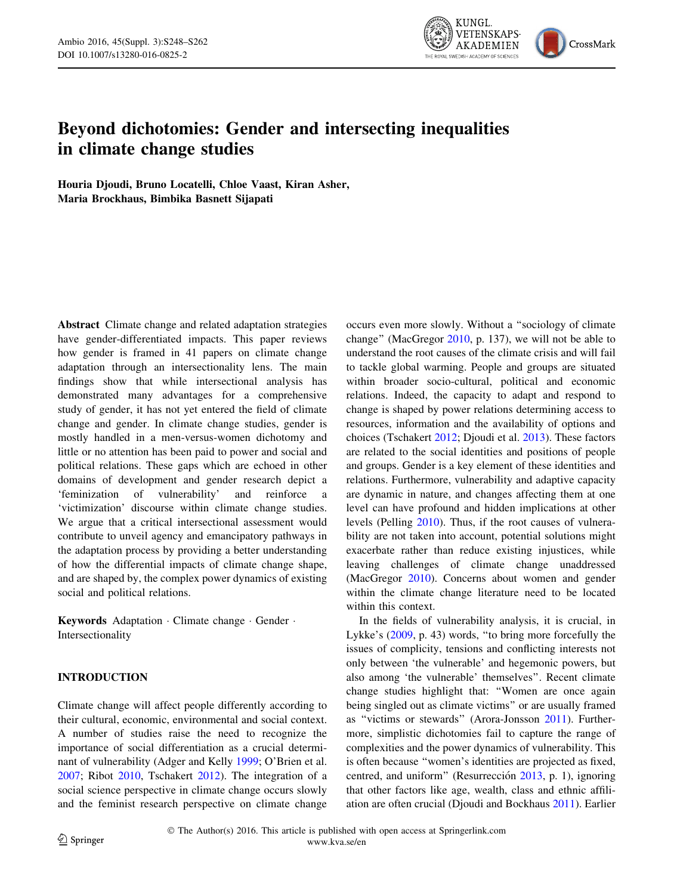

# Beyond dichotomies: Gender and intersecting inequalities in climate change studies

Houria Djoudi, Bruno Locatelli, Chloe Vaast, Kiran Asher, Maria Brockhaus, Bimbika Basnett Sijapati

Abstract Climate change and related adaptation strategies have gender-differentiated impacts. This paper reviews how gender is framed in 41 papers on climate change adaptation through an intersectionality lens. The main findings show that while intersectional analysis has demonstrated many advantages for a comprehensive study of gender, it has not yet entered the field of climate change and gender. In climate change studies, gender is mostly handled in a men-versus-women dichotomy and little or no attention has been paid to power and social and political relations. These gaps which are echoed in other domains of development and gender research depict a 'feminization of vulnerability' and reinforce a 'victimization' discourse within climate change studies. We argue that a critical intersectional assessment would contribute to unveil agency and emancipatory pathways in the adaptation process by providing a better understanding of how the differential impacts of climate change shape, and are shaped by, the complex power dynamics of existing social and political relations.

Keywords Adaptation - Climate change - Gender - Intersectionality

## INTRODUCTION

Climate change will affect people differently according to their cultural, economic, environmental and social context. A number of studies raise the need to recognize the importance of social differentiation as a crucial determinant of vulnerability (Adger and Kelly [1999;](#page-12-0) O'Brien et al. [2007;](#page-13-0) Ribot [2010](#page-13-0), Tschakert [2012\)](#page-14-0). The integration of a social science perspective in climate change occurs slowly and the feminist research perspective on climate change occurs even more slowly. Without a ''sociology of climate change'' (MacGregor [2010](#page-13-0), p. 137), we will not be able to understand the root causes of the climate crisis and will fail to tackle global warming. People and groups are situated within broader socio-cultural, political and economic relations. Indeed, the capacity to adapt and respond to change is shaped by power relations determining access to resources, information and the availability of options and choices (Tschakert [2012](#page-14-0); Djoudi et al. [2013](#page-12-0)). These factors are related to the social identities and positions of people and groups. Gender is a key element of these identities and relations. Furthermore, vulnerability and adaptive capacity are dynamic in nature, and changes affecting them at one level can have profound and hidden implications at other levels (Pelling [2010](#page-13-0)). Thus, if the root causes of vulnerability are not taken into account, potential solutions might exacerbate rather than reduce existing injustices, while leaving challenges of climate change unaddressed (MacGregor [2010\)](#page-13-0). Concerns about women and gender within the climate change literature need to be located within this context.

In the fields of vulnerability analysis, it is crucial, in Lykke's [\(2009,](#page-13-0) p. 43) words, ''to bring more forcefully the issues of complicity, tensions and conflicting interests not only between 'the vulnerable' and hegemonic powers, but also among 'the vulnerable' themselves''. Recent climate change studies highlight that: ''Women are once again being singled out as climate victims'' or are usually framed as ''victims or stewards'' (Arora-Jonsson [2011](#page-12-0)). Furthermore, simplistic dichotomies fail to capture the range of complexities and the power dynamics of vulnerability. This is often because ''women's identities are projected as fixed, centred, and uniform" (Resurrección [2013,](#page-13-0) p. 1), ignoring that other factors like age, wealth, class and ethnic affiliation are often crucial (Djoudi and Bockhaus [2011\)](#page-12-0). Earlier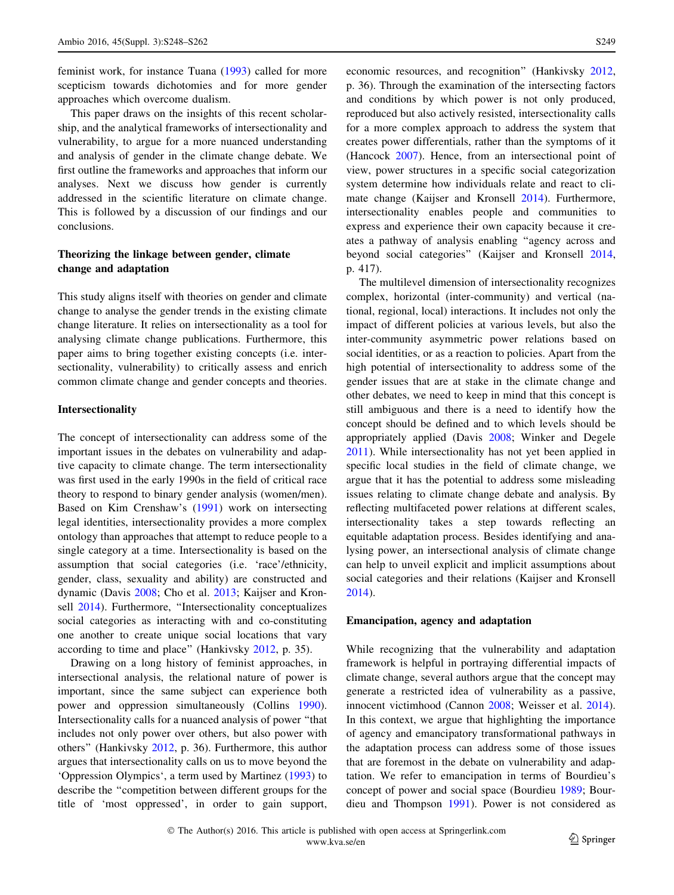feminist work, for instance Tuana [\(1993](#page-14-0)) called for more scepticism towards dichotomies and for more gender approaches which overcome dualism.

This paper draws on the insights of this recent scholarship, and the analytical frameworks of intersectionality and vulnerability, to argue for a more nuanced understanding and analysis of gender in the climate change debate. We first outline the frameworks and approaches that inform our analyses. Next we discuss how gender is currently addressed in the scientific literature on climate change. This is followed by a discussion of our findings and our conclusions.

# Theorizing the linkage between gender, climate change and adaptation

This study aligns itself with theories on gender and climate change to analyse the gender trends in the existing climate change literature. It relies on intersectionality as a tool for analysing climate change publications. Furthermore, this paper aims to bring together existing concepts (i.e. intersectionality, vulnerability) to critically assess and enrich common climate change and gender concepts and theories.

### Intersectionality

The concept of intersectionality can address some of the important issues in the debates on vulnerability and adaptive capacity to climate change. The term intersectionality was first used in the early 1990s in the field of critical race theory to respond to binary gender analysis (women/men). Based on Kim Crenshaw's ([1991\)](#page-12-0) work on intersecting legal identities, intersectionality provides a more complex ontology than approaches that attempt to reduce people to a single category at a time. Intersectionality is based on the assumption that social categories (i.e. 'race'/ethnicity, gender, class, sexuality and ability) are constructed and dynamic (Davis [2008;](#page-12-0) Cho et al. [2013;](#page-12-0) Kaijser and Kron-sell [2014\)](#page-13-0). Furthermore, "Intersectionality conceptualizes social categories as interacting with and co-constituting one another to create unique social locations that vary according to time and place'' (Hankivsky [2012,](#page-13-0) p. 35).

Drawing on a long history of feminist approaches, in intersectional analysis, the relational nature of power is important, since the same subject can experience both power and oppression simultaneously (Collins [1990](#page-12-0)). Intersectionality calls for a nuanced analysis of power ''that includes not only power over others, but also power with others'' (Hankivsky [2012](#page-13-0), p. 36). Furthermore, this author argues that intersectionality calls on us to move beyond the 'Oppression Olympics', a term used by Martinez [\(1993](#page-13-0)) to describe the ''competition between different groups for the title of 'most oppressed', in order to gain support, economic resources, and recognition'' (Hankivsky [2012,](#page-13-0) p. 36). Through the examination of the intersecting factors and conditions by which power is not only produced, reproduced but also actively resisted, intersectionality calls for a more complex approach to address the system that creates power differentials, rather than the symptoms of it (Hancock [2007\)](#page-13-0). Hence, from an intersectional point of view, power structures in a specific social categorization system determine how individuals relate and react to climate change (Kaijser and Kronsell [2014\)](#page-13-0). Furthermore, intersectionality enables people and communities to express and experience their own capacity because it creates a pathway of analysis enabling ''agency across and beyond social categories'' (Kaijser and Kronsell [2014,](#page-13-0) p. 417).

The multilevel dimension of intersectionality recognizes complex, horizontal (inter-community) and vertical (national, regional, local) interactions. It includes not only the impact of different policies at various levels, but also the inter-community asymmetric power relations based on social identities, or as a reaction to policies. Apart from the high potential of intersectionality to address some of the gender issues that are at stake in the climate change and other debates, we need to keep in mind that this concept is still ambiguous and there is a need to identify how the concept should be defined and to which levels should be appropriately applied (Davis [2008](#page-12-0); Winker and Degele [2011](#page-14-0)). While intersectionality has not yet been applied in specific local studies in the field of climate change, we argue that it has the potential to address some misleading issues relating to climate change debate and analysis. By reflecting multifaceted power relations at different scales, intersectionality takes a step towards reflecting an equitable adaptation process. Besides identifying and analysing power, an intersectional analysis of climate change can help to unveil explicit and implicit assumptions about social categories and their relations (Kaijser and Kronsell [2014](#page-13-0)).

#### Emancipation, agency and adaptation

While recognizing that the vulnerability and adaptation framework is helpful in portraying differential impacts of climate change, several authors argue that the concept may generate a restricted idea of vulnerability as a passive, innocent victimhood (Cannon [2008;](#page-12-0) Weisser et al. [2014](#page-14-0)). In this context, we argue that highlighting the importance of agency and emancipatory transformational pathways in the adaptation process can address some of those issues that are foremost in the debate on vulnerability and adaptation. We refer to emancipation in terms of Bourdieu's concept of power and social space (Bourdieu [1989;](#page-12-0) Bourdieu and Thompson [1991](#page-12-0)). Power is not considered as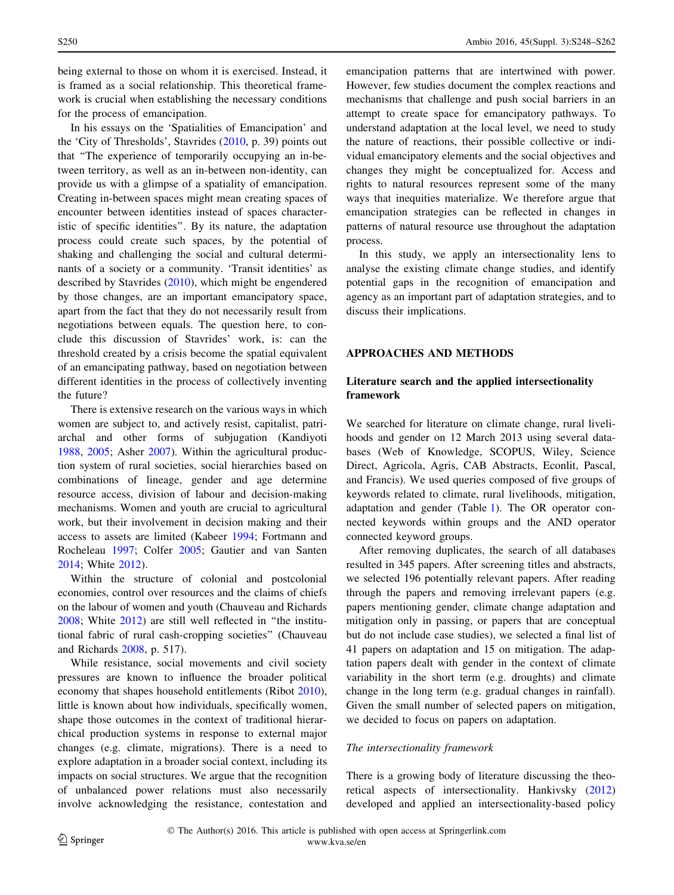being external to those on whom it is exercised. Instead, it is framed as a social relationship. This theoretical framework is crucial when establishing the necessary conditions for the process of emancipation.

In his essays on the 'Spatialities of Emancipation' and the 'City of Thresholds', Stavrides [\(2010](#page-13-0), p. 39) points out that ''The experience of temporarily occupying an in-between territory, as well as an in-between non-identity, can provide us with a glimpse of a spatiality of emancipation. Creating in-between spaces might mean creating spaces of encounter between identities instead of spaces characteristic of specific identities''. By its nature, the adaptation process could create such spaces, by the potential of shaking and challenging the social and cultural determinants of a society or a community. 'Transit identities' as described by Stavrides [\(2010](#page-13-0)), which might be engendered by those changes, are an important emancipatory space, apart from the fact that they do not necessarily result from negotiations between equals. The question here, to conclude this discussion of Stavrides' work, is: can the threshold created by a crisis become the spatial equivalent of an emancipating pathway, based on negotiation between different identities in the process of collectively inventing the future?

There is extensive research on the various ways in which women are subject to, and actively resist, capitalist, patriarchal and other forms of subjugation (Kandiyoti [1988,](#page-13-0) [2005](#page-13-0); Asher [2007](#page-12-0)). Within the agricultural production system of rural societies, social hierarchies based on combinations of lineage, gender and age determine resource access, division of labour and decision-making mechanisms. Women and youth are crucial to agricultural work, but their involvement in decision making and their access to assets are limited (Kabeer [1994;](#page-13-0) Fortmann and Rocheleau [1997;](#page-13-0) Colfer [2005](#page-12-0); Gautier and van Santen [2014;](#page-13-0) White [2012\)](#page-14-0).

Within the structure of colonial and postcolonial economies, control over resources and the claims of chiefs on the labour of women and youth (Chauveau and Richards [2008;](#page-12-0) White [2012\)](#page-14-0) are still well reflected in ''the institutional fabric of rural cash-cropping societies'' (Chauveau and Richards [2008,](#page-12-0) p. 517).

While resistance, social movements and civil society pressures are known to influence the broader political economy that shapes household entitlements (Ribot [2010](#page-13-0)), little is known about how individuals, specifically women, shape those outcomes in the context of traditional hierarchical production systems in response to external major changes (e.g. climate, migrations). There is a need to explore adaptation in a broader social context, including its impacts on social structures. We argue that the recognition of unbalanced power relations must also necessarily involve acknowledging the resistance, contestation and emancipation patterns that are intertwined with power. However, few studies document the complex reactions and mechanisms that challenge and push social barriers in an attempt to create space for emancipatory pathways. To understand adaptation at the local level, we need to study the nature of reactions, their possible collective or individual emancipatory elements and the social objectives and changes they might be conceptualized for. Access and rights to natural resources represent some of the many ways that inequities materialize. We therefore argue that emancipation strategies can be reflected in changes in patterns of natural resource use throughout the adaptation process.

In this study, we apply an intersectionality lens to analyse the existing climate change studies, and identify potential gaps in the recognition of emancipation and agency as an important part of adaptation strategies, and to discuss their implications.

## APPROACHES AND METHODS

## Literature search and the applied intersectionality framework

We searched for literature on climate change, rural livelihoods and gender on 12 March 2013 using several databases (Web of Knowledge, SCOPUS, Wiley, Science Direct, Agricola, Agris, CAB Abstracts, Econlit, Pascal, and Francis). We used queries composed of five groups of keywords related to climate, rural livelihoods, mitigation, adaptation and gender (Table [1](#page-3-0)). The OR operator connected keywords within groups and the AND operator connected keyword groups.

After removing duplicates, the search of all databases resulted in 345 papers. After screening titles and abstracts, we selected 196 potentially relevant papers. After reading through the papers and removing irrelevant papers (e.g. papers mentioning gender, climate change adaptation and mitigation only in passing, or papers that are conceptual but do not include case studies), we selected a final list of 41 papers on adaptation and 15 on mitigation. The adaptation papers dealt with gender in the context of climate variability in the short term (e.g. droughts) and climate change in the long term (e.g. gradual changes in rainfall). Given the small number of selected papers on mitigation, we decided to focus on papers on adaptation.

#### The intersectionality framework

There is a growing body of literature discussing the theoretical aspects of intersectionality. Hankivsky ([2012\)](#page-13-0) developed and applied an intersectionality-based policy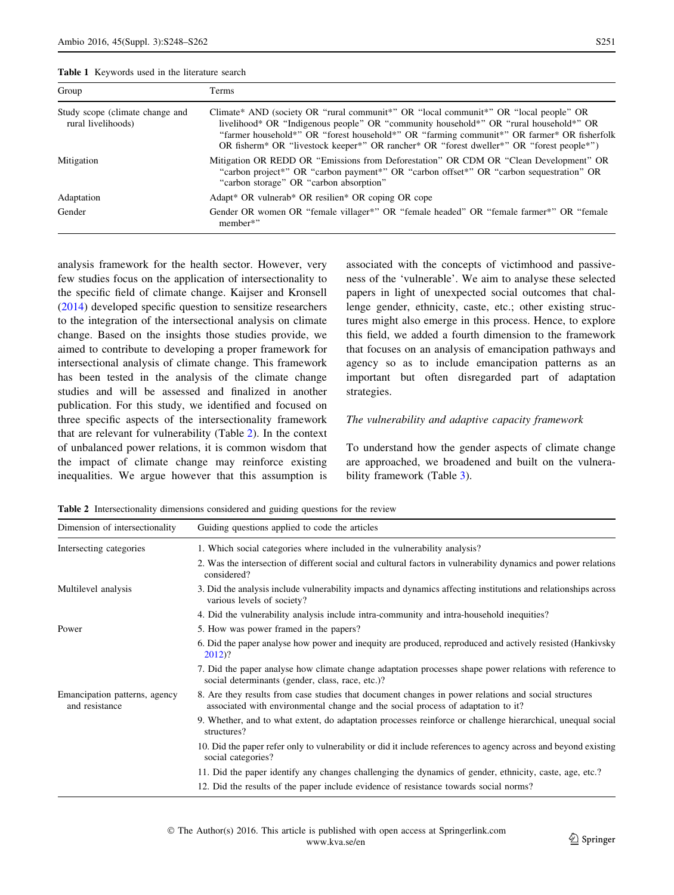<span id="page-3-0"></span>

|  | <b>Table 1</b> Keywords used in the literature search |  |  |  |  |
|--|-------------------------------------------------------|--|--|--|--|
|--|-------------------------------------------------------|--|--|--|--|

| Group                                                 | Terms                                                                                                                                                                                                                                                                                                                                                                   |
|-------------------------------------------------------|-------------------------------------------------------------------------------------------------------------------------------------------------------------------------------------------------------------------------------------------------------------------------------------------------------------------------------------------------------------------------|
| Study scope (climate change and<br>rural livelihoods) | Climate* AND (society OR "rural communit*" OR "local communit*" OR "local people" OR<br>livelihood* OR "Indigenous people" OR "community household*" OR "rural household*" OR<br>"farmer household*" OR "forest household*" OR "farming communit*" OR farmer* OR fisherfolk<br>OR fisherm* OR "livestock keeper*" OR rancher* OR "forest dweller*" OR "forest people*") |
| Mitigation                                            | Mitigation OR REDD OR "Emissions from Deforestation" OR CDM OR "Clean Development" OR<br>"carbon project*" OR "carbon payment*" OR "carbon offset*" OR "carbon sequestration" OR<br>"carbon storage" OR "carbon absorption"                                                                                                                                             |
| Adaptation                                            | Adapt* OR vulnerab* OR resilien* OR coping OR cope                                                                                                                                                                                                                                                                                                                      |
| Gender                                                | Gender OR women OR "female villager*" OR "female headed" OR "female farmer*" OR "female<br>member*"                                                                                                                                                                                                                                                                     |

analysis framework for the health sector. However, very few studies focus on the application of intersectionality to the specific field of climate change. Kaijser and Kronsell [\(2014](#page-13-0)) developed specific question to sensitize researchers to the integration of the intersectional analysis on climate change. Based on the insights those studies provide, we aimed to contribute to developing a proper framework for intersectional analysis of climate change. This framework has been tested in the analysis of the climate change studies and will be assessed and finalized in another publication. For this study, we identified and focused on three specific aspects of the intersectionality framework that are relevant for vulnerability (Table 2). In the context of unbalanced power relations, it is common wisdom that the impact of climate change may reinforce existing inequalities. We argue however that this assumption is associated with the concepts of victimhood and passiveness of the 'vulnerable'. We aim to analyse these selected papers in light of unexpected social outcomes that challenge gender, ethnicity, caste, etc.; other existing structures might also emerge in this process. Hence, to explore this field, we added a fourth dimension to the framework that focuses on an analysis of emancipation pathways and agency so as to include emancipation patterns as an important but often disregarded part of adaptation strategies.

#### The vulnerability and adaptive capacity framework

To understand how the gender aspects of climate change are approached, we broadened and built on the vulnera-bility framework (Table [3\)](#page-4-0).

| Dimension of intersectionality                  | Guiding questions applied to code the articles                                                                                                                                           |  |  |
|-------------------------------------------------|------------------------------------------------------------------------------------------------------------------------------------------------------------------------------------------|--|--|
| Intersecting categories                         | 1. Which social categories where included in the vulnerability analysis?                                                                                                                 |  |  |
|                                                 | 2. Was the intersection of different social and cultural factors in vulnerability dynamics and power relations<br>considered?                                                            |  |  |
| Multilevel analysis                             | 3. Did the analysis include vulnerability impacts and dynamics affecting institutions and relationships across<br>various levels of society?                                             |  |  |
|                                                 | 4. Did the vulnerability analysis include intra-community and intra-household inequities?                                                                                                |  |  |
| Power                                           | 5. How was power framed in the papers?                                                                                                                                                   |  |  |
|                                                 | 6. Did the paper analyse how power and inequity are produced, reproduced and actively resisted (Hankivsky<br>$2012$ ?                                                                    |  |  |
|                                                 | 7. Did the paper analyse how climate change adaptation processes shape power relations with reference to<br>social determinants (gender, class, race, etc.)?                             |  |  |
| Emancipation patterns, agency<br>and resistance | 8. Are they results from case studies that document changes in power relations and social structures<br>associated with environmental change and the social process of adaptation to it? |  |  |
|                                                 | 9. Whether, and to what extent, do adaptation processes reinforce or challenge hierarchical, unequal social<br>structures?                                                               |  |  |
|                                                 | 10. Did the paper refer only to vulnerability or did it include references to agency across and beyond existing<br>social categories?                                                    |  |  |
|                                                 | 11. Did the paper identify any changes challenging the dynamics of gender, ethnicity, caste, age, etc.?                                                                                  |  |  |
|                                                 | 12. Did the results of the paper include evidence of resistance towards social norms?                                                                                                    |  |  |

Table 2 Intersectionality dimensions considered and guiding questions for the review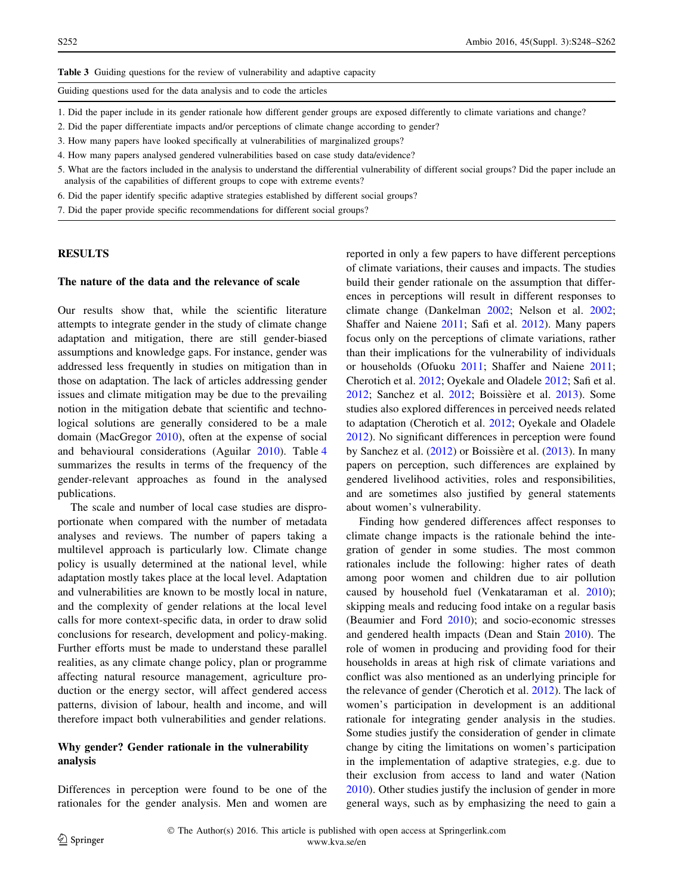#### <span id="page-4-0"></span>Table 3 Guiding questions for the review of vulnerability and adaptive capacity

Guiding questions used for the data analysis and to code the articles

- 1. Did the paper include in its gender rationale how different gender groups are exposed differently to climate variations and change?
- 2. Did the paper differentiate impacts and/or perceptions of climate change according to gender?
- 3. How many papers have looked specifically at vulnerabilities of marginalized groups?
- 4. How many papers analysed gendered vulnerabilities based on case study data/evidence?
- 5. What are the factors included in the analysis to understand the differential vulnerability of different social groups? Did the paper include an analysis of the capabilities of different groups to cope with extreme events?
- 6. Did the paper identify specific adaptive strategies established by different social groups?
- 7. Did the paper provide specific recommendations for different social groups?

## **RESULTS**

## The nature of the data and the relevance of scale

Our results show that, while the scientific literature attempts to integrate gender in the study of climate change adaptation and mitigation, there are still gender-biased assumptions and knowledge gaps. For instance, gender was addressed less frequently in studies on mitigation than in those on adaptation. The lack of articles addressing gender issues and climate mitigation may be due to the prevailing notion in the mitigation debate that scientific and technological solutions are generally considered to be a male domain (MacGregor [2010\)](#page-13-0), often at the expense of social and behavioural considerations (Aguilar [2010](#page-12-0)). Table [4](#page-5-0) summarizes the results in terms of the frequency of the gender-relevant approaches as found in the analysed publications.

The scale and number of local case studies are disproportionate when compared with the number of metadata analyses and reviews. The number of papers taking a multilevel approach is particularly low. Climate change policy is usually determined at the national level, while adaptation mostly takes place at the local level. Adaptation and vulnerabilities are known to be mostly local in nature, and the complexity of gender relations at the local level calls for more context-specific data, in order to draw solid conclusions for research, development and policy-making. Further efforts must be made to understand these parallel realities, as any climate change policy, plan or programme affecting natural resource management, agriculture production or the energy sector, will affect gendered access patterns, division of labour, health and income, and will therefore impact both vulnerabilities and gender relations.

## Why gender? Gender rationale in the vulnerability analysis

Differences in perception were found to be one of the rationales for the gender analysis. Men and women are reported in only a few papers to have different perceptions of climate variations, their causes and impacts. The studies build their gender rationale on the assumption that differences in perceptions will result in different responses to climate change (Dankelman [2002;](#page-12-0) Nelson et al. [2002](#page-13-0); Shaffer and Naiene [2011](#page-13-0); Safi et al. [2012](#page-13-0)). Many papers focus only on the perceptions of climate variations, rather than their implications for the vulnerability of individuals or households (Ofuoku [2011](#page-13-0); Shaffer and Naiene [2011](#page-13-0); Cherotich et al. [2012;](#page-12-0) Oyekale and Oladele [2012;](#page-13-0) Safi et al. [2012](#page-13-0); Sanchez et al.  $2012$ ; Boissière et al.  $2013$ ). Some studies also explored differences in perceived needs related to adaptation (Cherotich et al. [2012](#page-12-0); Oyekale and Oladele [2012](#page-13-0)). No significant differences in perception were found by Sanchez et al.  $(2012)$  $(2012)$  or Boissière et al.  $(2013)$  $(2013)$ . In many papers on perception, such differences are explained by gendered livelihood activities, roles and responsibilities, and are sometimes also justified by general statements about women's vulnerability.

Finding how gendered differences affect responses to climate change impacts is the rationale behind the integration of gender in some studies. The most common rationales include the following: higher rates of death among poor women and children due to air pollution caused by household fuel (Venkataraman et al. [2010](#page-14-0)); skipping meals and reducing food intake on a regular basis (Beaumier and Ford [2010\)](#page-12-0); and socio-economic stresses and gendered health impacts (Dean and Stain [2010](#page-12-0)). The role of women in producing and providing food for their households in areas at high risk of climate variations and conflict was also mentioned as an underlying principle for the relevance of gender (Cherotich et al. [2012](#page-12-0)). The lack of women's participation in development is an additional rationale for integrating gender analysis in the studies. Some studies justify the consideration of gender in climate change by citing the limitations on women's participation in the implementation of adaptive strategies, e.g. due to their exclusion from access to land and water (Nation [2010](#page-13-0)). Other studies justify the inclusion of gender in more general ways, such as by emphasizing the need to gain a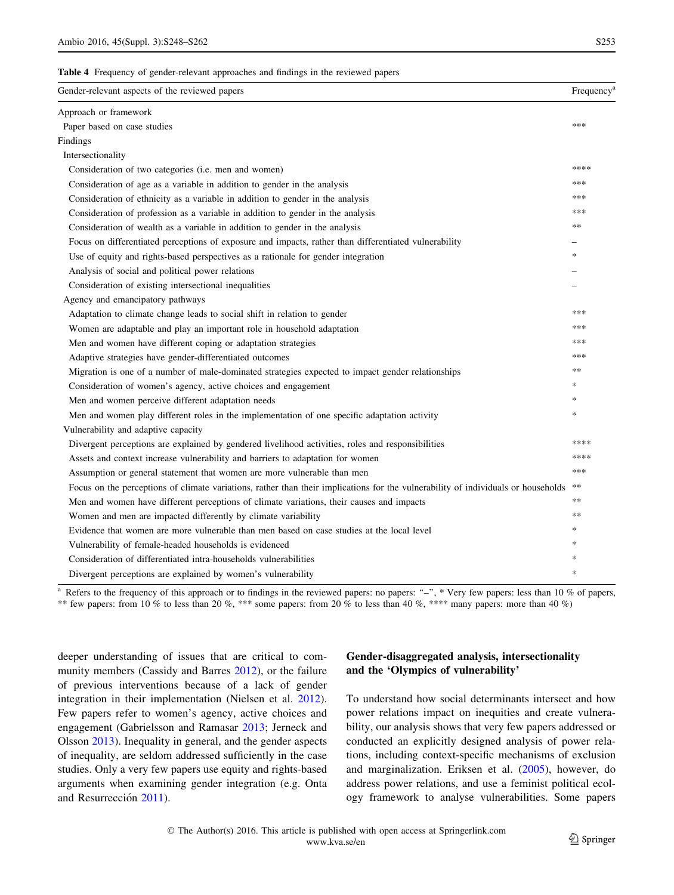<span id="page-5-0"></span>Table 4 Frequency of gender-relevant approaches and findings in the reviewed papers

| Gender-relevant aspects of the reviewed papers<br>Frequency <sup>®</sup>                                                                   |  |  |  |  |
|--------------------------------------------------------------------------------------------------------------------------------------------|--|--|--|--|
| Approach or framework                                                                                                                      |  |  |  |  |
| Paper based on case studies<br>***                                                                                                         |  |  |  |  |
| Findings                                                                                                                                   |  |  |  |  |
| Intersectionality                                                                                                                          |  |  |  |  |
| ****<br>Consideration of two categories (i.e. men and women)                                                                               |  |  |  |  |
| Consideration of age as a variable in addition to gender in the analysis<br>***                                                            |  |  |  |  |
| ***<br>Consideration of ethnicity as a variable in addition to gender in the analysis                                                      |  |  |  |  |
| Consideration of profession as a variable in addition to gender in the analysis<br>***                                                     |  |  |  |  |
| $**$<br>Consideration of wealth as a variable in addition to gender in the analysis                                                        |  |  |  |  |
| Focus on differentiated perceptions of exposure and impacts, rather than differentiated vulnerability                                      |  |  |  |  |
| Use of equity and rights-based perspectives as a rationale for gender integration<br>*                                                     |  |  |  |  |
| Analysis of social and political power relations                                                                                           |  |  |  |  |
| Consideration of existing intersectional inequalities                                                                                      |  |  |  |  |
| Agency and emancipatory pathways                                                                                                           |  |  |  |  |
| Adaptation to climate change leads to social shift in relation to gender<br>***                                                            |  |  |  |  |
| Women are adaptable and play an important role in household adaptation<br>***                                                              |  |  |  |  |
| ***<br>Men and women have different coping or adaptation strategies                                                                        |  |  |  |  |
| Adaptive strategies have gender-differentiated outcomes<br>***                                                                             |  |  |  |  |
| Migration is one of a number of male-dominated strategies expected to impact gender relationships<br>$**$                                  |  |  |  |  |
| Consideration of women's agency, active choices and engagement<br>*                                                                        |  |  |  |  |
| *<br>Men and women perceive different adaptation needs                                                                                     |  |  |  |  |
| *<br>Men and women play different roles in the implementation of one specific adaptation activity                                          |  |  |  |  |
| Vulnerability and adaptive capacity                                                                                                        |  |  |  |  |
| ****<br>Divergent perceptions are explained by gendered livelihood activities, roles and responsibilities                                  |  |  |  |  |
| Assets and context increase vulnerability and barriers to adaptation for women<br>****                                                     |  |  |  |  |
| Assumption or general statement that women are more vulnerable than men<br>***                                                             |  |  |  |  |
| $***$<br>Focus on the perceptions of climate variations, rather than their implications for the vulnerability of individuals or households |  |  |  |  |
| Men and women have different perceptions of climate variations, their causes and impacts<br>**                                             |  |  |  |  |
| $**$<br>Women and men are impacted differently by climate variability                                                                      |  |  |  |  |
| Evidence that women are more vulnerable than men based on case studies at the local level<br>*                                             |  |  |  |  |
| Vulnerability of female-headed households is evidenced<br>*                                                                                |  |  |  |  |
| Consideration of differentiated intra-households vulnerabilities<br>*                                                                      |  |  |  |  |
| $\ast$<br>Divergent perceptions are explained by women's vulnerability                                                                     |  |  |  |  |

Refers to the frequency of this approach or to findings in the reviewed papers: no papers: "-", \* Very few papers: less than 10 % of papers, \*\* few papers: from 10 % to less than 20 %, \*\*\* some papers: from 20 % to less than 40 %, \*\*\*\* many papers: more than 40 %)

deeper understanding of issues that are critical to community members (Cassidy and Barres [2012](#page-12-0)), or the failure of previous interventions because of a lack of gender integration in their implementation (Nielsen et al. [2012](#page-13-0)). Few papers refer to women's agency, active choices and engagement (Gabrielsson and Ramasar [2013](#page-13-0); Jerneck and Olsson [2013](#page-13-0)). Inequality in general, and the gender aspects of inequality, are seldom addressed sufficiently in the case studies. Only a very few papers use equity and rights-based arguments when examining gender integration (e.g. Onta and Resurrección [2011\)](#page-13-0).

# Gender-disaggregated analysis, intersectionality and the 'Olympics of vulnerability'

To understand how social determinants intersect and how power relations impact on inequities and create vulnerability, our analysis shows that very few papers addressed or conducted an explicitly designed analysis of power relations, including context-specific mechanisms of exclusion and marginalization. Eriksen et al. ([2005\)](#page-12-0), however, do address power relations, and use a feminist political ecology framework to analyse vulnerabilities. Some papers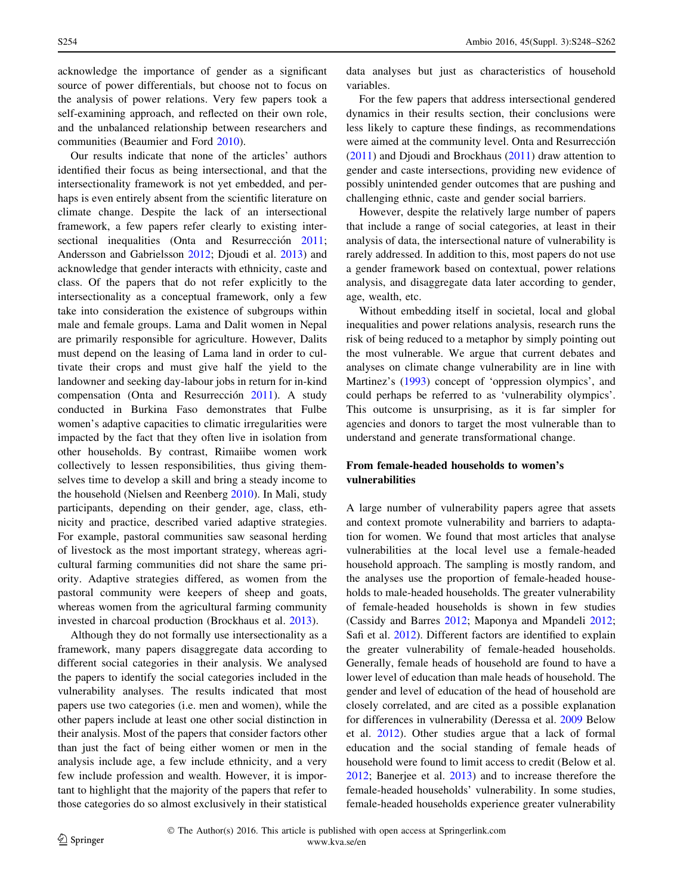acknowledge the importance of gender as a significant source of power differentials, but choose not to focus on the analysis of power relations. Very few papers took a self-examining approach, and reflected on their own role, and the unbalanced relationship between researchers and communities (Beaumier and Ford [2010\)](#page-12-0).

Our results indicate that none of the articles' authors identified their focus as being intersectional, and that the intersectionality framework is not yet embedded, and perhaps is even entirely absent from the scientific literature on climate change. Despite the lack of an intersectional framework, a few papers refer clearly to existing inter-sectional inequalities (Onta and Resurrección [2011](#page-13-0); Andersson and Gabrielsson [2012](#page-12-0); Djoudi et al. [2013\)](#page-12-0) and acknowledge that gender interacts with ethnicity, caste and class. Of the papers that do not refer explicitly to the intersectionality as a conceptual framework, only a few take into consideration the existence of subgroups within male and female groups. Lama and Dalit women in Nepal are primarily responsible for agriculture. However, Dalits must depend on the leasing of Lama land in order to cultivate their crops and must give half the yield to the landowner and seeking day-labour jobs in return for in-kind compensation (Onta and Resurrección [2011\)](#page-13-0). A study conducted in Burkina Faso demonstrates that Fulbe women's adaptive capacities to climatic irregularities were impacted by the fact that they often live in isolation from other households. By contrast, Rimaiibe women work collectively to lessen responsibilities, thus giving themselves time to develop a skill and bring a steady income to the household (Nielsen and Reenberg [2010](#page-13-0)). In Mali, study participants, depending on their gender, age, class, ethnicity and practice, described varied adaptive strategies. For example, pastoral communities saw seasonal herding of livestock as the most important strategy, whereas agricultural farming communities did not share the same priority. Adaptive strategies differed, as women from the pastoral community were keepers of sheep and goats, whereas women from the agricultural farming community invested in charcoal production (Brockhaus et al. [2013\)](#page-12-0).

Although they do not formally use intersectionality as a framework, many papers disaggregate data according to different social categories in their analysis. We analysed the papers to identify the social categories included in the vulnerability analyses. The results indicated that most papers use two categories (i.e. men and women), while the other papers include at least one other social distinction in their analysis. Most of the papers that consider factors other than just the fact of being either women or men in the analysis include age, a few include ethnicity, and a very few include profession and wealth. However, it is important to highlight that the majority of the papers that refer to those categories do so almost exclusively in their statistical data analyses but just as characteristics of household variables.

For the few papers that address intersectional gendered dynamics in their results section, their conclusions were less likely to capture these findings, as recommendations were aimed at the community level. Onta and Resurrección [\(2011](#page-13-0)) and Djoudi and Brockhaus ([2011\)](#page-12-0) draw attention to gender and caste intersections, providing new evidence of possibly unintended gender outcomes that are pushing and challenging ethnic, caste and gender social barriers.

However, despite the relatively large number of papers that include a range of social categories, at least in their analysis of data, the intersectional nature of vulnerability is rarely addressed. In addition to this, most papers do not use a gender framework based on contextual, power relations analysis, and disaggregate data later according to gender, age, wealth, etc.

Without embedding itself in societal, local and global inequalities and power relations analysis, research runs the risk of being reduced to a metaphor by simply pointing out the most vulnerable. We argue that current debates and analyses on climate change vulnerability are in line with Martinez's ([1993\)](#page-13-0) concept of 'oppression olympics', and could perhaps be referred to as 'vulnerability olympics'. This outcome is unsurprising, as it is far simpler for agencies and donors to target the most vulnerable than to understand and generate transformational change.

# From female-headed households to women's vulnerabilities

A large number of vulnerability papers agree that assets and context promote vulnerability and barriers to adaptation for women. We found that most articles that analyse vulnerabilities at the local level use a female-headed household approach. The sampling is mostly random, and the analyses use the proportion of female-headed households to male-headed households. The greater vulnerability of female-headed households is shown in few studies (Cassidy and Barres [2012;](#page-12-0) Maponya and Mpandeli [2012](#page-13-0); Safi et al. [2012](#page-13-0)). Different factors are identified to explain the greater vulnerability of female-headed households. Generally, female heads of household are found to have a lower level of education than male heads of household. The gender and level of education of the head of household are closely correlated, and are cited as a possible explanation for differences in vulnerability (Deressa et al. [2009](#page-12-0) Below et al. [2012](#page-12-0)). Other studies argue that a lack of formal education and the social standing of female heads of household were found to limit access to credit (Below et al. [2012](#page-12-0); Banerjee et al. [2013](#page-12-0)) and to increase therefore the female-headed households' vulnerability. In some studies, female-headed households experience greater vulnerability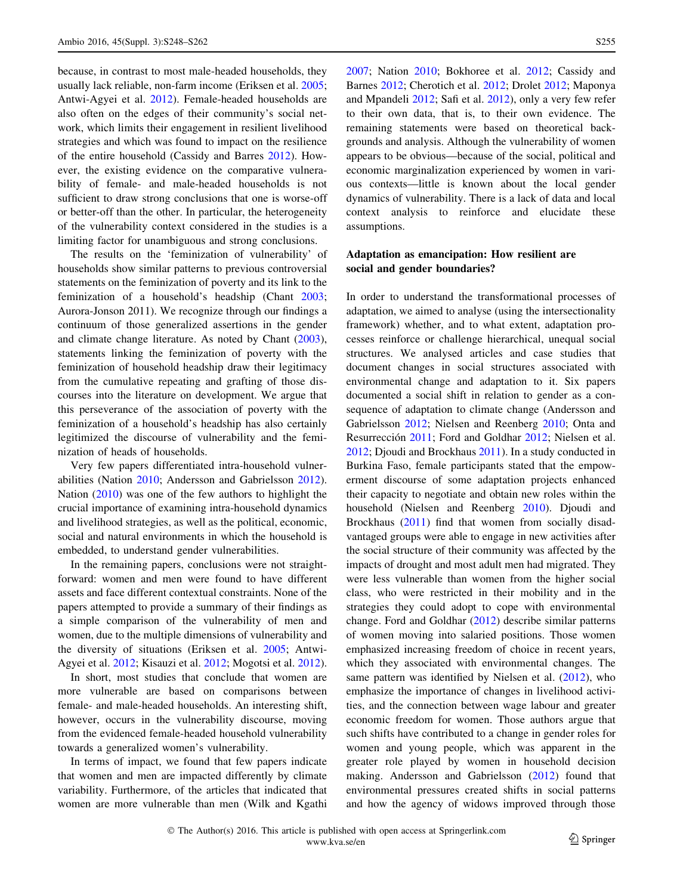because, in contrast to most male-headed households, they usually lack reliable, non-farm income (Eriksen et al. [2005](#page-12-0); Antwi-Agyei et al. [2012\)](#page-12-0). Female-headed households are also often on the edges of their community's social network, which limits their engagement in resilient livelihood strategies and which was found to impact on the resilience of the entire household (Cassidy and Barres [2012\)](#page-12-0). However, the existing evidence on the comparative vulnerability of female- and male-headed households is not sufficient to draw strong conclusions that one is worse-off or better-off than the other. In particular, the heterogeneity of the vulnerability context considered in the studies is a limiting factor for unambiguous and strong conclusions.

The results on the 'feminization of vulnerability' of households show similar patterns to previous controversial statements on the feminization of poverty and its link to the feminization of a household's headship (Chant [2003](#page-12-0); Aurora-Jonson 2011). We recognize through our findings a continuum of those generalized assertions in the gender and climate change literature. As noted by Chant [\(2003](#page-12-0)), statements linking the feminization of poverty with the feminization of household headship draw their legitimacy from the cumulative repeating and grafting of those discourses into the literature on development. We argue that this perseverance of the association of poverty with the feminization of a household's headship has also certainly legitimized the discourse of vulnerability and the feminization of heads of households.

Very few papers differentiated intra-household vulnerabilities (Nation [2010;](#page-13-0) Andersson and Gabrielsson [2012](#page-12-0)). Nation ([2010\)](#page-13-0) was one of the few authors to highlight the crucial importance of examining intra-household dynamics and livelihood strategies, as well as the political, economic, social and natural environments in which the household is embedded, to understand gender vulnerabilities.

In the remaining papers, conclusions were not straightforward: women and men were found to have different assets and face different contextual constraints. None of the papers attempted to provide a summary of their findings as a simple comparison of the vulnerability of men and women, due to the multiple dimensions of vulnerability and the diversity of situations (Eriksen et al. [2005;](#page-12-0) Antwi-Agyei et al. [2012;](#page-12-0) Kisauzi et al. [2012](#page-13-0); Mogotsi et al. [2012](#page-13-0)).

In short, most studies that conclude that women are more vulnerable are based on comparisons between female- and male-headed households. An interesting shift, however, occurs in the vulnerability discourse, moving from the evidenced female-headed household vulnerability towards a generalized women's vulnerability.

In terms of impact, we found that few papers indicate that women and men are impacted differently by climate variability. Furthermore, of the articles that indicated that women are more vulnerable than men (Wilk and Kgathi [2007](#page-14-0); Nation [2010](#page-13-0); Bokhoree et al. [2012](#page-12-0); Cassidy and Barnes [2012;](#page-12-0) Cherotich et al. [2012](#page-12-0); Drolet [2012;](#page-12-0) Maponya and Mpandeli [2012](#page-13-0); Safi et al. [2012\)](#page-13-0), only a very few refer to their own data, that is, to their own evidence. The remaining statements were based on theoretical backgrounds and analysis. Although the vulnerability of women appears to be obvious—because of the social, political and economic marginalization experienced by women in various contexts—little is known about the local gender dynamics of vulnerability. There is a lack of data and local context analysis to reinforce and elucidate these assumptions.

# Adaptation as emancipation: How resilient are social and gender boundaries?

In order to understand the transformational processes of adaptation, we aimed to analyse (using the intersectionality framework) whether, and to what extent, adaptation processes reinforce or challenge hierarchical, unequal social structures. We analysed articles and case studies that document changes in social structures associated with environmental change and adaptation to it. Six papers documented a social shift in relation to gender as a consequence of adaptation to climate change (Andersson and Gabrielsson [2012;](#page-12-0) Nielsen and Reenberg [2010;](#page-13-0) Onta and Resurrección [2011](#page-13-0); Ford and Goldhar [2012](#page-13-0); Nielsen et al. [2012](#page-13-0); Djoudi and Brockhaus [2011](#page-12-0)). In a study conducted in Burkina Faso, female participants stated that the empowerment discourse of some adaptation projects enhanced their capacity to negotiate and obtain new roles within the household (Nielsen and Reenberg [2010](#page-13-0)). Djoudi and Brockhaus [\(2011](#page-12-0)) find that women from socially disadvantaged groups were able to engage in new activities after the social structure of their community was affected by the impacts of drought and most adult men had migrated. They were less vulnerable than women from the higher social class, who were restricted in their mobility and in the strategies they could adopt to cope with environmental change. Ford and Goldhar ([2012\)](#page-13-0) describe similar patterns of women moving into salaried positions. Those women emphasized increasing freedom of choice in recent years, which they associated with environmental changes. The same pattern was identified by Nielsen et al. ([2012\)](#page-13-0), who emphasize the importance of changes in livelihood activities, and the connection between wage labour and greater economic freedom for women. Those authors argue that such shifts have contributed to a change in gender roles for women and young people, which was apparent in the greater role played by women in household decision making. Andersson and Gabrielsson ([2012\)](#page-12-0) found that environmental pressures created shifts in social patterns and how the agency of widows improved through those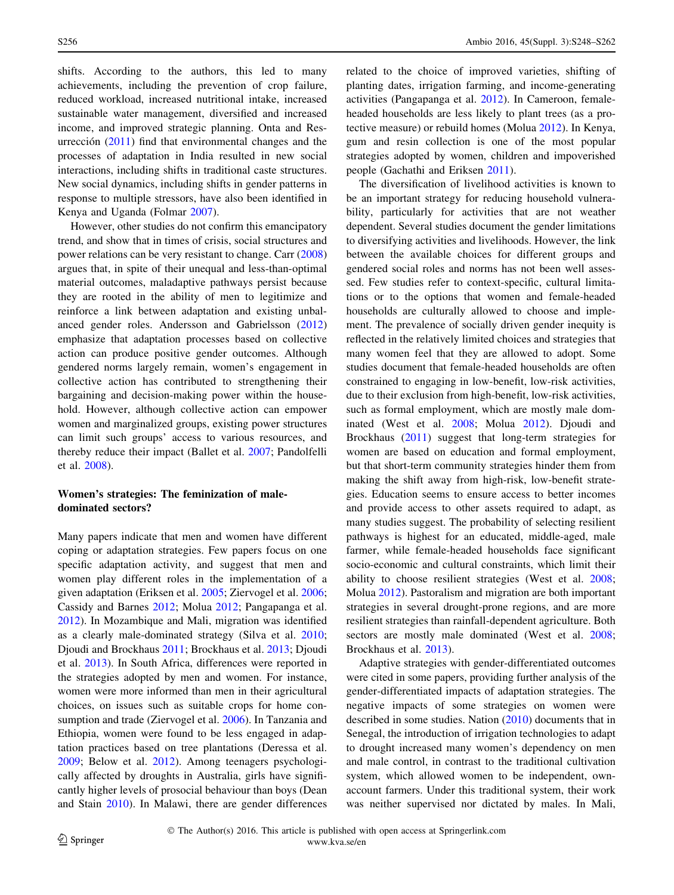shifts. According to the authors, this led to many achievements, including the prevention of crop failure, reduced workload, increased nutritional intake, increased sustainable water management, diversified and increased income, and improved strategic planning. Onta and Resurrección  $(2011)$  $(2011)$  find that environmental changes and the processes of adaptation in India resulted in new social interactions, including shifts in traditional caste structures. New social dynamics, including shifts in gender patterns in response to multiple stressors, have also been identified in Kenya and Uganda (Folmar [2007](#page-12-0)).

However, other studies do not confirm this emancipatory trend, and show that in times of crisis, social structures and power relations can be very resistant to change. Carr ([2008\)](#page-12-0) argues that, in spite of their unequal and less-than-optimal material outcomes, maladaptive pathways persist because they are rooted in the ability of men to legitimize and reinforce a link between adaptation and existing unbalanced gender roles. Andersson and Gabrielsson ([2012\)](#page-12-0) emphasize that adaptation processes based on collective action can produce positive gender outcomes. Although gendered norms largely remain, women's engagement in collective action has contributed to strengthening their bargaining and decision-making power within the household. However, although collective action can empower women and marginalized groups, existing power structures can limit such groups' access to various resources, and thereby reduce their impact (Ballet et al. [2007](#page-12-0); Pandolfelli et al. [2008\)](#page-13-0).

## Women's strategies: The feminization of maledominated sectors?

Many papers indicate that men and women have different coping or adaptation strategies. Few papers focus on one specific adaptation activity, and suggest that men and women play different roles in the implementation of a given adaptation (Eriksen et al. [2005;](#page-12-0) Ziervogel et al. [2006](#page-14-0); Cassidy and Barnes [2012](#page-12-0); Molua [2012;](#page-13-0) Pangapanga et al. [2012\)](#page-13-0). In Mozambique and Mali, migration was identified as a clearly male-dominated strategy (Silva et al. [2010](#page-13-0); Djoudi and Brockhaus [2011](#page-12-0); Brockhaus et al. [2013](#page-12-0); Djoudi et al. [2013\)](#page-12-0). In South Africa, differences were reported in the strategies adopted by men and women. For instance, women were more informed than men in their agricultural choices, on issues such as suitable crops for home consumption and trade (Ziervogel et al. [2006\)](#page-14-0). In Tanzania and Ethiopia, women were found to be less engaged in adaptation practices based on tree plantations (Deressa et al. [2009;](#page-12-0) Below et al. [2012\)](#page-12-0). Among teenagers psychologically affected by droughts in Australia, girls have significantly higher levels of prosocial behaviour than boys (Dean and Stain [2010](#page-12-0)). In Malawi, there are gender differences related to the choice of improved varieties, shifting of planting dates, irrigation farming, and income-generating activities (Pangapanga et al. [2012\)](#page-13-0). In Cameroon, femaleheaded households are less likely to plant trees (as a protective measure) or rebuild homes (Molua [2012\)](#page-13-0). In Kenya, gum and resin collection is one of the most popular strategies adopted by women, children and impoverished people (Gachathi and Eriksen [2011\)](#page-13-0).

The diversification of livelihood activities is known to be an important strategy for reducing household vulnerability, particularly for activities that are not weather dependent. Several studies document the gender limitations to diversifying activities and livelihoods. However, the link between the available choices for different groups and gendered social roles and norms has not been well assessed. Few studies refer to context-specific, cultural limitations or to the options that women and female-headed households are culturally allowed to choose and implement. The prevalence of socially driven gender inequity is reflected in the relatively limited choices and strategies that many women feel that they are allowed to adopt. Some studies document that female-headed households are often constrained to engaging in low-benefit, low-risk activities, due to their exclusion from high-benefit, low-risk activities, such as formal employment, which are mostly male dominated (West et al. [2008](#page-14-0); Molua [2012](#page-13-0)). Djoudi and Brockhaus ([2011\)](#page-12-0) suggest that long-term strategies for women are based on education and formal employment, but that short-term community strategies hinder them from making the shift away from high-risk, low-benefit strategies. Education seems to ensure access to better incomes and provide access to other assets required to adapt, as many studies suggest. The probability of selecting resilient pathways is highest for an educated, middle-aged, male farmer, while female-headed households face significant socio-economic and cultural constraints, which limit their ability to choose resilient strategies (West et al. [2008](#page-14-0); Molua [2012\)](#page-13-0). Pastoralism and migration are both important strategies in several drought-prone regions, and are more resilient strategies than rainfall-dependent agriculture. Both sectors are mostly male dominated (West et al. [2008](#page-14-0); Brockhaus et al. [2013\)](#page-12-0).

Adaptive strategies with gender-differentiated outcomes were cited in some papers, providing further analysis of the gender-differentiated impacts of adaptation strategies. The negative impacts of some strategies on women were described in some studies. Nation [\(2010](#page-13-0)) documents that in Senegal, the introduction of irrigation technologies to adapt to drought increased many women's dependency on men and male control, in contrast to the traditional cultivation system, which allowed women to be independent, ownaccount farmers. Under this traditional system, their work was neither supervised nor dictated by males. In Mali,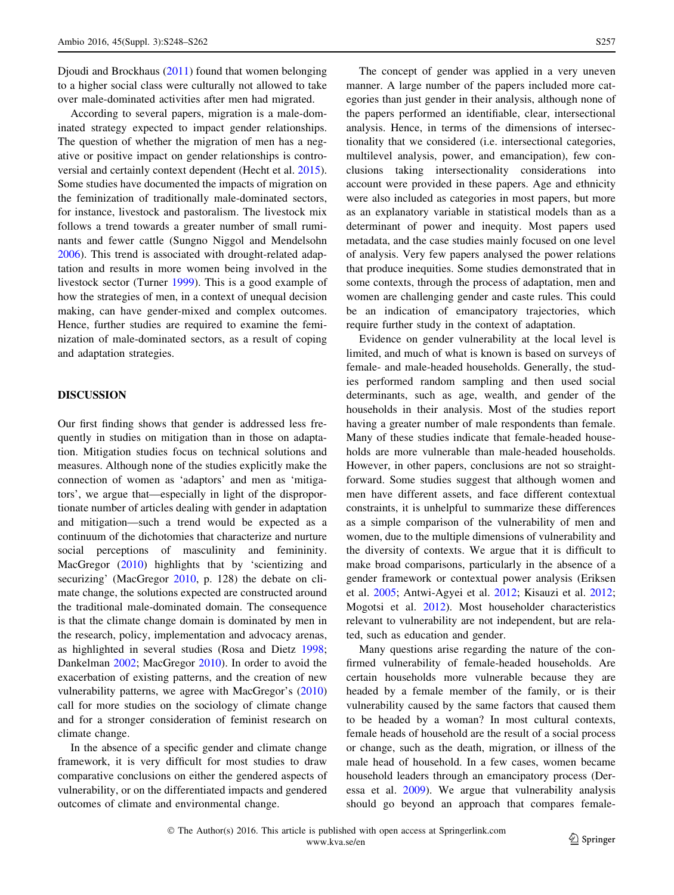Djoudi and Brockhaus [\(2011](#page-12-0)) found that women belonging to a higher social class were culturally not allowed to take over male-dominated activities after men had migrated.

According to several papers, migration is a male-dominated strategy expected to impact gender relationships. The question of whether the migration of men has a negative or positive impact on gender relationships is controversial and certainly context dependent (Hecht et al. [2015](#page-13-0)). Some studies have documented the impacts of migration on the feminization of traditionally male-dominated sectors, for instance, livestock and pastoralism. The livestock mix follows a trend towards a greater number of small ruminants and fewer cattle (Sungno Niggol and Mendelsohn [2006\)](#page-13-0). This trend is associated with drought-related adaptation and results in more women being involved in the livestock sector (Turner [1999\)](#page-14-0). This is a good example of how the strategies of men, in a context of unequal decision making, can have gender-mixed and complex outcomes. Hence, further studies are required to examine the feminization of male-dominated sectors, as a result of coping and adaptation strategies.

## DISCUSSION

Our first finding shows that gender is addressed less frequently in studies on mitigation than in those on adaptation. Mitigation studies focus on technical solutions and measures. Although none of the studies explicitly make the connection of women as 'adaptors' and men as 'mitigators', we argue that—especially in light of the disproportionate number of articles dealing with gender in adaptation and mitigation—such a trend would be expected as a continuum of the dichotomies that characterize and nurture social perceptions of masculinity and femininity. MacGregor ([2010\)](#page-13-0) highlights that by 'scientizing and securizing' (MacGregor [2010](#page-13-0), p. 128) the debate on climate change, the solutions expected are constructed around the traditional male-dominated domain. The consequence is that the climate change domain is dominated by men in the research, policy, implementation and advocacy arenas, as highlighted in several studies (Rosa and Dietz [1998](#page-13-0); Dankelman [2002](#page-12-0); MacGregor [2010\)](#page-13-0). In order to avoid the exacerbation of existing patterns, and the creation of new vulnerability patterns, we agree with MacGregor's ([2010\)](#page-13-0) call for more studies on the sociology of climate change and for a stronger consideration of feminist research on climate change.

In the absence of a specific gender and climate change framework, it is very difficult for most studies to draw comparative conclusions on either the gendered aspects of vulnerability, or on the differentiated impacts and gendered outcomes of climate and environmental change.

The concept of gender was applied in a very uneven manner. A large number of the papers included more categories than just gender in their analysis, although none of the papers performed an identifiable, clear, intersectional analysis. Hence, in terms of the dimensions of intersectionality that we considered (i.e. intersectional categories, multilevel analysis, power, and emancipation), few conclusions taking intersectionality considerations into account were provided in these papers. Age and ethnicity were also included as categories in most papers, but more as an explanatory variable in statistical models than as a determinant of power and inequity. Most papers used metadata, and the case studies mainly focused on one level of analysis. Very few papers analysed the power relations that produce inequities. Some studies demonstrated that in some contexts, through the process of adaptation, men and women are challenging gender and caste rules. This could be an indication of emancipatory trajectories, which require further study in the context of adaptation.

Evidence on gender vulnerability at the local level is limited, and much of what is known is based on surveys of female- and male-headed households. Generally, the studies performed random sampling and then used social determinants, such as age, wealth, and gender of the households in their analysis. Most of the studies report having a greater number of male respondents than female. Many of these studies indicate that female-headed households are more vulnerable than male-headed households. However, in other papers, conclusions are not so straightforward. Some studies suggest that although women and men have different assets, and face different contextual constraints, it is unhelpful to summarize these differences as a simple comparison of the vulnerability of men and women, due to the multiple dimensions of vulnerability and the diversity of contexts. We argue that it is difficult to make broad comparisons, particularly in the absence of a gender framework or contextual power analysis (Eriksen et al. [2005](#page-12-0); Antwi-Agyei et al. [2012;](#page-12-0) Kisauzi et al. [2012](#page-13-0); Mogotsi et al. [2012](#page-13-0)). Most householder characteristics relevant to vulnerability are not independent, but are related, such as education and gender.

Many questions arise regarding the nature of the confirmed vulnerability of female-headed households. Are certain households more vulnerable because they are headed by a female member of the family, or is their vulnerability caused by the same factors that caused them to be headed by a woman? In most cultural contexts, female heads of household are the result of a social process or change, such as the death, migration, or illness of the male head of household. In a few cases, women became household leaders through an emancipatory process (Deressa et al. [2009](#page-12-0)). We argue that vulnerability analysis should go beyond an approach that compares female-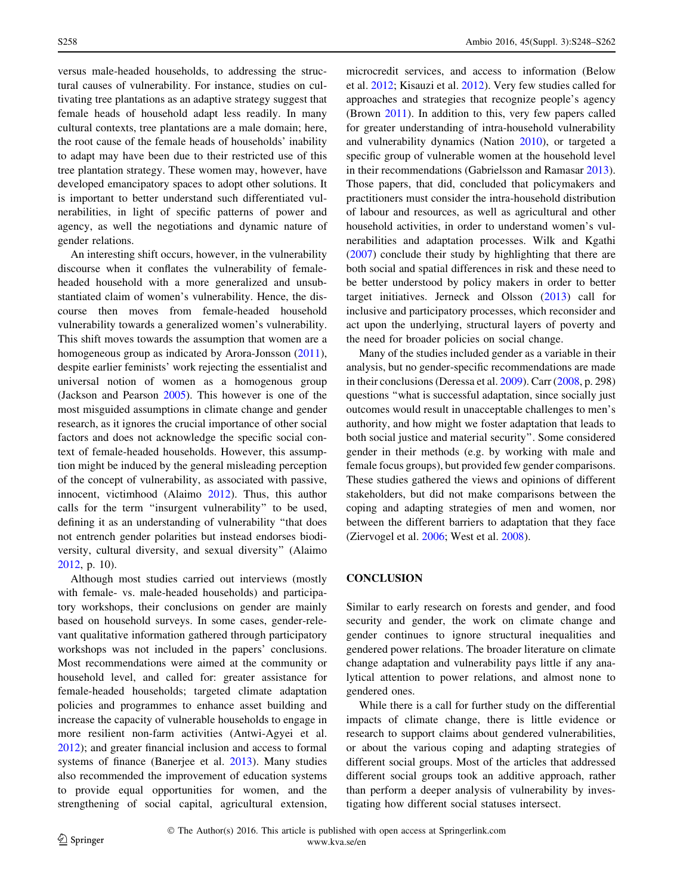versus male-headed households, to addressing the structural causes of vulnerability. For instance, studies on cultivating tree plantations as an adaptive strategy suggest that female heads of household adapt less readily. In many cultural contexts, tree plantations are a male domain; here, the root cause of the female heads of households' inability to adapt may have been due to their restricted use of this tree plantation strategy. These women may, however, have developed emancipatory spaces to adopt other solutions. It is important to better understand such differentiated vulnerabilities, in light of specific patterns of power and agency, as well the negotiations and dynamic nature of gender relations.

An interesting shift occurs, however, in the vulnerability discourse when it conflates the vulnerability of femaleheaded household with a more generalized and unsubstantiated claim of women's vulnerability. Hence, the discourse then moves from female-headed household vulnerability towards a generalized women's vulnerability. This shift moves towards the assumption that women are a homogeneous group as indicated by Arora-Jonsson [\(2011](#page-12-0)), despite earlier feminists' work rejecting the essentialist and universal notion of women as a homogenous group (Jackson and Pearson [2005](#page-13-0)). This however is one of the most misguided assumptions in climate change and gender research, as it ignores the crucial importance of other social factors and does not acknowledge the specific social context of female-headed households. However, this assumption might be induced by the general misleading perception of the concept of vulnerability, as associated with passive, innocent, victimhood (Alaimo [2012\)](#page-12-0). Thus, this author calls for the term ''insurgent vulnerability'' to be used, defining it as an understanding of vulnerability ''that does not entrench gender polarities but instead endorses biodiversity, cultural diversity, and sexual diversity'' (Alaimo [2012,](#page-12-0) p. 10).

Although most studies carried out interviews (mostly with female- vs. male-headed households) and participatory workshops, their conclusions on gender are mainly based on household surveys. In some cases, gender-relevant qualitative information gathered through participatory workshops was not included in the papers' conclusions. Most recommendations were aimed at the community or household level, and called for: greater assistance for female-headed households; targeted climate adaptation policies and programmes to enhance asset building and increase the capacity of vulnerable households to engage in more resilient non-farm activities (Antwi-Agyei et al. [2012\)](#page-12-0); and greater financial inclusion and access to formal systems of finance (Banerjee et al. [2013](#page-12-0)). Many studies also recommended the improvement of education systems to provide equal opportunities for women, and the strengthening of social capital, agricultural extension, microcredit services, and access to information (Below et al. [2012;](#page-12-0) Kisauzi et al. [2012](#page-13-0)). Very few studies called for approaches and strategies that recognize people's agency (Brown [2011](#page-12-0)). In addition to this, very few papers called for greater understanding of intra-household vulnerability and vulnerability dynamics (Nation [2010](#page-13-0)), or targeted a specific group of vulnerable women at the household level in their recommendations (Gabrielsson and Ramasar [2013](#page-13-0)). Those papers, that did, concluded that policymakers and practitioners must consider the intra-household distribution of labour and resources, as well as agricultural and other household activities, in order to understand women's vulnerabilities and adaptation processes. Wilk and Kgathi [\(2007](#page-14-0)) conclude their study by highlighting that there are both social and spatial differences in risk and these need to be better understood by policy makers in order to better target initiatives. Jerneck and Olsson [\(2013](#page-13-0)) call for inclusive and participatory processes, which reconsider and act upon the underlying, structural layers of poverty and the need for broader policies on social change.

Many of the studies included gender as a variable in their analysis, but no gender-specific recommendations are made in their conclusions (Deressa et al. [2009](#page-12-0)). Carr [\(2008](#page-12-0), p. 298) questions ''what is successful adaptation, since socially just outcomes would result in unacceptable challenges to men's authority, and how might we foster adaptation that leads to both social justice and material security''. Some considered gender in their methods (e.g. by working with male and female focus groups), but provided few gender comparisons. These studies gathered the views and opinions of different stakeholders, but did not make comparisons between the coping and adapting strategies of men and women, nor between the different barriers to adaptation that they face (Ziervogel et al. [2006;](#page-14-0) West et al. [2008](#page-14-0)).

## **CONCLUSION**

Similar to early research on forests and gender, and food security and gender, the work on climate change and gender continues to ignore structural inequalities and gendered power relations. The broader literature on climate change adaptation and vulnerability pays little if any analytical attention to power relations, and almost none to gendered ones.

While there is a call for further study on the differential impacts of climate change, there is little evidence or research to support claims about gendered vulnerabilities, or about the various coping and adapting strategies of different social groups. Most of the articles that addressed different social groups took an additive approach, rather than perform a deeper analysis of vulnerability by investigating how different social statuses intersect.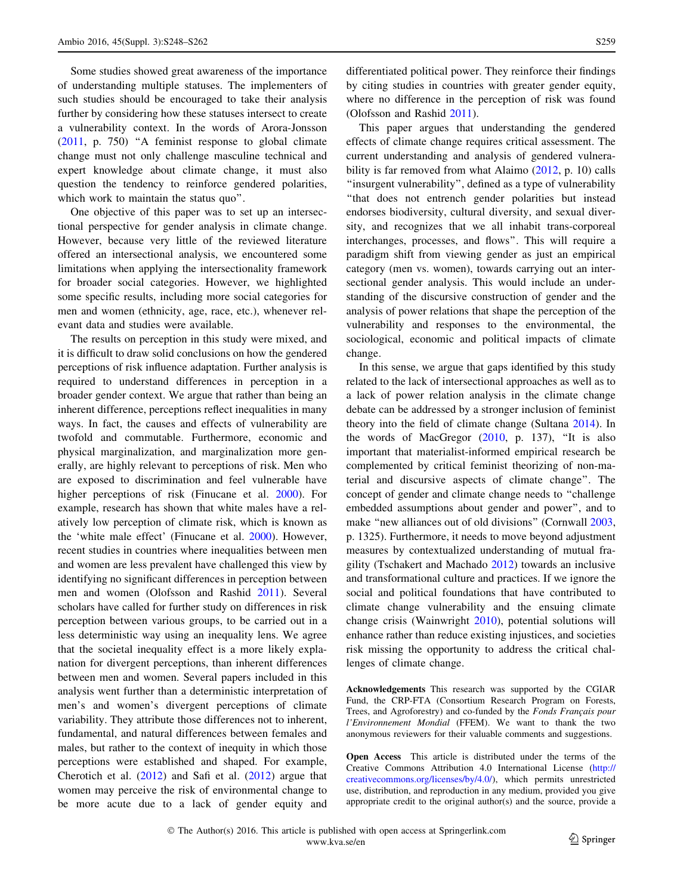Some studies showed great awareness of the importance of understanding multiple statuses. The implementers of such studies should be encouraged to take their analysis further by considering how these statuses intersect to create a vulnerability context. In the words of Arora-Jonsson [\(2011](#page-12-0), p. 750) ''A feminist response to global climate change must not only challenge masculine technical and expert knowledge about climate change, it must also question the tendency to reinforce gendered polarities, which work to maintain the status quo''.

One objective of this paper was to set up an intersectional perspective for gender analysis in climate change. However, because very little of the reviewed literature offered an intersectional analysis, we encountered some limitations when applying the intersectionality framework for broader social categories. However, we highlighted some specific results, including more social categories for men and women (ethnicity, age, race, etc.), whenever relevant data and studies were available.

The results on perception in this study were mixed, and it is difficult to draw solid conclusions on how the gendered perceptions of risk influence adaptation. Further analysis is required to understand differences in perception in a broader gender context. We argue that rather than being an inherent difference, perceptions reflect inequalities in many ways. In fact, the causes and effects of vulnerability are twofold and commutable. Furthermore, economic and physical marginalization, and marginalization more generally, are highly relevant to perceptions of risk. Men who are exposed to discrimination and feel vulnerable have higher perceptions of risk (Finucane et al. [2000\)](#page-12-0). For example, research has shown that white males have a relatively low perception of climate risk, which is known as the 'white male effect' (Finucane et al. [2000](#page-12-0)). However, recent studies in countries where inequalities between men and women are less prevalent have challenged this view by identifying no significant differences in perception between men and women (Olofsson and Rashid [2011\)](#page-13-0). Several scholars have called for further study on differences in risk perception between various groups, to be carried out in a less deterministic way using an inequality lens. We agree that the societal inequality effect is a more likely explanation for divergent perceptions, than inherent differences between men and women. Several papers included in this analysis went further than a deterministic interpretation of men's and women's divergent perceptions of climate variability. They attribute those differences not to inherent, fundamental, and natural differences between females and males, but rather to the context of inequity in which those perceptions were established and shaped. For example, Cherotich et al. [\(2012](#page-12-0)) and Safi et al. ([2012\)](#page-13-0) argue that women may perceive the risk of environmental change to be more acute due to a lack of gender equity and differentiated political power. They reinforce their findings by citing studies in countries with greater gender equity, where no difference in the perception of risk was found (Olofsson and Rashid [2011\)](#page-13-0).

This paper argues that understanding the gendered effects of climate change requires critical assessment. The current understanding and analysis of gendered vulnerability is far removed from what Alaimo ([2012,](#page-12-0) p. 10) calls ''insurgent vulnerability'', defined as a type of vulnerability ''that does not entrench gender polarities but instead endorses biodiversity, cultural diversity, and sexual diversity, and recognizes that we all inhabit trans-corporeal interchanges, processes, and flows''. This will require a paradigm shift from viewing gender as just an empirical category (men vs. women), towards carrying out an intersectional gender analysis. This would include an understanding of the discursive construction of gender and the analysis of power relations that shape the perception of the vulnerability and responses to the environmental, the sociological, economic and political impacts of climate change.

In this sense, we argue that gaps identified by this study related to the lack of intersectional approaches as well as to a lack of power relation analysis in the climate change debate can be addressed by a stronger inclusion of feminist theory into the field of climate change (Sultana [2014](#page-13-0)). In the words of MacGregor ([2010](#page-13-0), p. 137), ''It is also important that materialist-informed empirical research be complemented by critical feminist theorizing of non-material and discursive aspects of climate change''. The concept of gender and climate change needs to ''challenge embedded assumptions about gender and power'', and to make "new alliances out of old divisions" (Cornwall [2003,](#page-12-0) p. 1325). Furthermore, it needs to move beyond adjustment measures by contextualized understanding of mutual fragility (Tschakert and Machado [2012](#page-14-0)) towards an inclusive and transformational culture and practices. If we ignore the social and political foundations that have contributed to climate change vulnerability and the ensuing climate change crisis (Wainwright [2010](#page-14-0)), potential solutions will enhance rather than reduce existing injustices, and societies risk missing the opportunity to address the critical challenges of climate change.

Acknowledgements This research was supported by the CGIAR Fund, the CRP-FTA (Consortium Research Program on Forests, Trees, and Agroforestry) and co-funded by the Fonds Français pour l'Environnement Mondial (FFEM). We want to thank the two anonymous reviewers for their valuable comments and suggestions.

Open Access This article is distributed under the terms of the Creative Commons Attribution 4.0 International License ([http://](http://creativecommons.org/licenses/by/4.0/) [creativecommons.org/licenses/by/4.0/](http://creativecommons.org/licenses/by/4.0/)), which permits unrestricted use, distribution, and reproduction in any medium, provided you give appropriate credit to the original author(s) and the source, provide a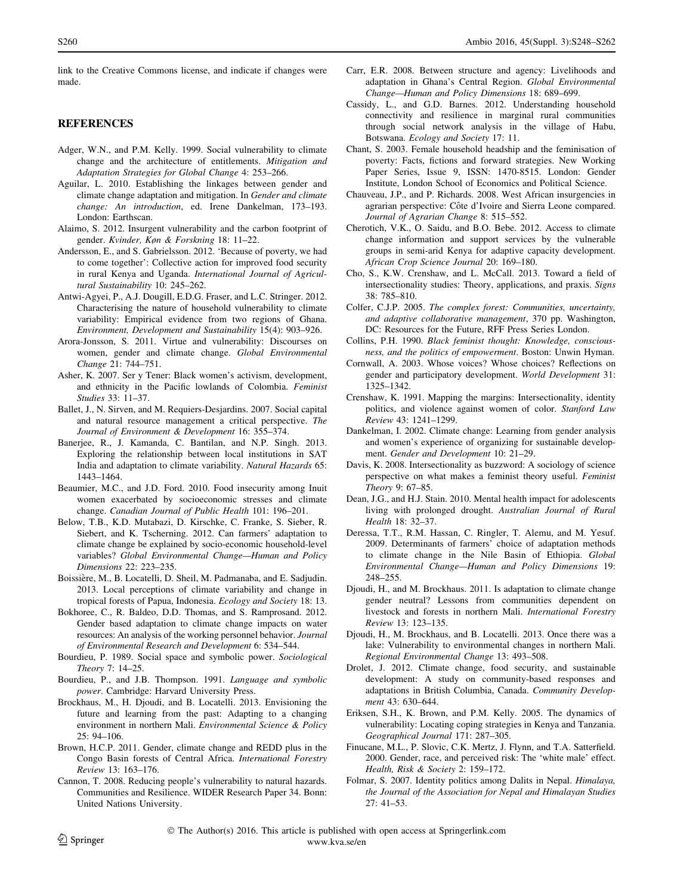<span id="page-12-0"></span>link to the Creative Commons license, and indicate if changes were made.

## **REFERENCES**

- Adger, W.N., and P.M. Kelly. 1999. Social vulnerability to climate change and the architecture of entitlements. Mitigation and Adaptation Strategies for Global Change 4: 253–266.
- Aguilar, L. 2010. Establishing the linkages between gender and climate change adaptation and mitigation. In Gender and climate change: An introduction, ed. Irene Dankelman, 173–193. London: Earthscan.
- Alaimo, S. 2012. Insurgent vulnerability and the carbon footprint of gender. Kvinder, Køn & Forskning 18: 11–22.
- Andersson, E., and S. Gabrielsson. 2012. 'Because of poverty, we had to come together': Collective action for improved food security in rural Kenya and Uganda. International Journal of Agricultural Sustainability 10: 245–262.
- Antwi-Agyei, P., A.J. Dougill, E.D.G. Fraser, and L.C. Stringer. 2012. Characterising the nature of household vulnerability to climate variability: Empirical evidence from two regions of Ghana. Environment, Development and Sustainability 15(4): 903–926.
- Arora-Jonsson, S. 2011. Virtue and vulnerability: Discourses on women, gender and climate change. Global Environmental Change 21: 744–751.
- Asher, K. 2007. Ser y Tener: Black women's activism, development, and ethnicity in the Pacific lowlands of Colombia. Feminist Studies 33: 11–37.
- Ballet, J., N. Sirven, and M. Requiers-Desjardins. 2007. Social capital and natural resource management a critical perspective. The Journal of Environment & Development 16: 355–374.
- Banerjee, R., J. Kamanda, C. Bantilan, and N.P. Singh. 2013. Exploring the relationship between local institutions in SAT India and adaptation to climate variability. Natural Hazards 65: 1443–1464.
- Beaumier, M.C., and J.D. Ford. 2010. Food insecurity among Inuit women exacerbated by socioeconomic stresses and climate change. Canadian Journal of Public Health 101: 196–201.
- Below, T.B., K.D. Mutabazi, D. Kirschke, C. Franke, S. Sieber, R. Siebert, and K. Tscherning. 2012. Can farmers' adaptation to climate change be explained by socio-economic household-level variables? Global Environmental Change—Human and Policy Dimensions 22: 223–235.
- Boissière, M., B. Locatelli, D. Sheil, M. Padmanaba, and E. Sadjudin. 2013. Local perceptions of climate variability and change in tropical forests of Papua, Indonesia. Ecology and Society 18: 13.
- Bokhoree, C., R. Baldeo, D.D. Thomas, and S. Ramprosand. 2012. Gender based adaptation to climate change impacts on water resources: An analysis of the working personnel behavior. Journal of Environmental Research and Development 6: 534–544.
- Bourdieu, P. 1989. Social space and symbolic power. Sociological Theory 7: 14–25.
- Bourdieu, P., and J.B. Thompson. 1991. Language and symbolic power. Cambridge: Harvard University Press.
- Brockhaus, M., H. Djoudi, and B. Locatelli. 2013. Envisioning the future and learning from the past: Adapting to a changing environment in northern Mali. Environmental Science & Policy 25: 94–106.
- Brown, H.C.P. 2011. Gender, climate change and REDD plus in the Congo Basin forests of Central Africa. International Forestry Review 13: 163–176.
- Cannon, T. 2008. Reducing people's vulnerability to natural hazards. Communities and Resilience. WIDER Research Paper 34. Bonn: United Nations University.
- Carr, E.R. 2008. Between structure and agency: Livelihoods and adaptation in Ghana's Central Region. Global Environmental Change—Human and Policy Dimensions 18: 689–699.
- Cassidy, L., and G.D. Barnes. 2012. Understanding household connectivity and resilience in marginal rural communities through social network analysis in the village of Habu, Botswana. Ecology and Society 17: 11.
- Chant, S. 2003. Female household headship and the feminisation of poverty: Facts, fictions and forward strategies. New Working Paper Series, Issue 9, ISSN: 1470-8515. London: Gender Institute, London School of Economics and Political Science.
- Chauveau, J.P., and P. Richards. 2008. West African insurgencies in agrarian perspective: Côte d'Ivoire and Sierra Leone compared. Journal of Agrarian Change 8: 515–552.
- Cherotich, V.K., O. Saidu, and B.O. Bebe. 2012. Access to climate change information and support services by the vulnerable groups in semi-arid Kenya for adaptive capacity development. African Crop Science Journal 20: 169–180.
- Cho, S., K.W. Crenshaw, and L. McCall. 2013. Toward a field of intersectionality studies: Theory, applications, and praxis. Signs 38: 785–810.
- Colfer, C.J.P. 2005. The complex forest: Communities, uncertainty, and adaptive collaborative management, 370 pp. Washington, DC: Resources for the Future, RFF Press Series London.
- Collins, P.H. 1990. Black feminist thought: Knowledge, consciousness, and the politics of empowerment. Boston: Unwin Hyman.
- Cornwall, A. 2003. Whose voices? Whose choices? Reflections on gender and participatory development. World Development 31: 1325–1342.
- Crenshaw, K. 1991. Mapping the margins: Intersectionality, identity politics, and violence against women of color. Stanford Law Review 43: 1241–1299.
- Dankelman, I. 2002. Climate change: Learning from gender analysis and women's experience of organizing for sustainable development. Gender and Development 10: 21–29.
- Davis, K. 2008. Intersectionality as buzzword: A sociology of science perspective on what makes a feminist theory useful. Feminist Theory 9: 67–85.
- Dean, J.G., and H.J. Stain. 2010. Mental health impact for adolescents living with prolonged drought. Australian Journal of Rural Health 18: 32–37.
- Deressa, T.T., R.M. Hassan, C. Ringler, T. Alemu, and M. Yesuf. 2009. Determinants of farmers' choice of adaptation methods to climate change in the Nile Basin of Ethiopia. Global Environmental Change—Human and Policy Dimensions 19: 248–255.
- Djoudi, H., and M. Brockhaus. 2011. Is adaptation to climate change gender neutral? Lessons from communities dependent on livestock and forests in northern Mali. International Forestry Review 13: 123–135.
- Djoudi, H., M. Brockhaus, and B. Locatelli. 2013. Once there was a lake: Vulnerability to environmental changes in northern Mali. Regional Environmental Change 13: 493–508.
- Drolet, J. 2012. Climate change, food security, and sustainable development: A study on community-based responses and adaptations in British Columbia, Canada. Community Development 43: 630–644.
- Eriksen, S.H., K. Brown, and P.M. Kelly. 2005. The dynamics of vulnerability: Locating coping strategies in Kenya and Tanzania. Geographical Journal 171: 287–305.
- Finucane, M.L., P. Slovic, C.K. Mertz, J. Flynn, and T.A. Satterfield. 2000. Gender, race, and perceived risk: The 'white male' effect. Health, Risk & Society 2: 159–172.
- Folmar, S. 2007. Identity politics among Dalits in Nepal. Himalaya, the Journal of the Association for Nepal and Himalayan Studies 27: 41–53.

 The Author(s) 2016. This article is published with open access at Springerlink.com www.kva.se/en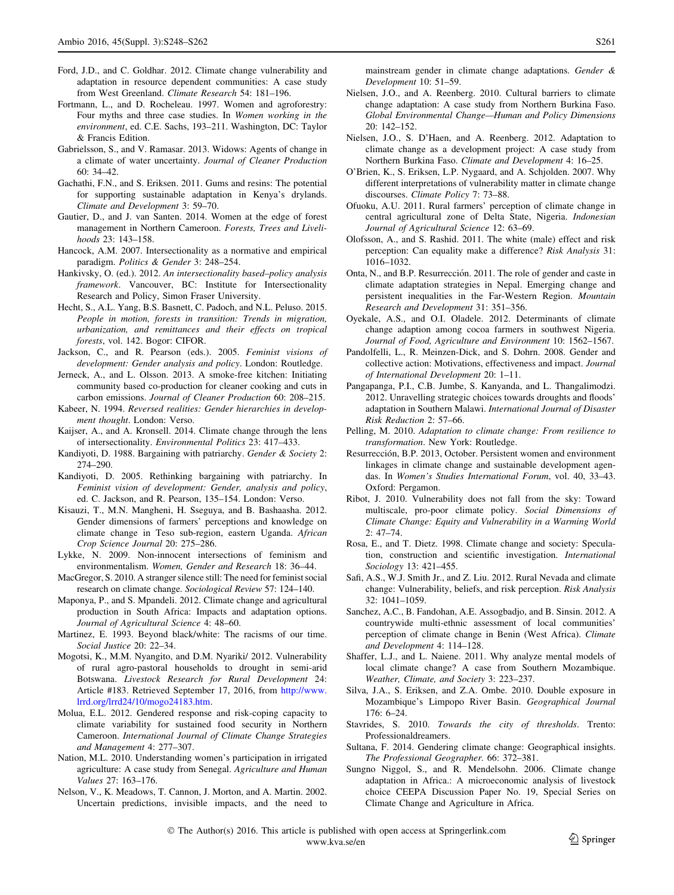- <span id="page-13-0"></span>Ford, J.D., and C. Goldhar. 2012. Climate change vulnerability and adaptation in resource dependent communities: A case study from West Greenland. Climate Research 54: 181–196.
- Fortmann, L., and D. Rocheleau. 1997. Women and agroforestry: Four myths and three case studies. In Women working in the environment, ed. C.E. Sachs, 193–211. Washington, DC: Taylor & Francis Edition.
- Gabrielsson, S., and V. Ramasar. 2013. Widows: Agents of change in a climate of water uncertainty. Journal of Cleaner Production 60: 34–42.
- Gachathi, F.N., and S. Eriksen. 2011. Gums and resins: The potential for supporting sustainable adaptation in Kenya's drylands. Climate and Development 3: 59–70.
- Gautier, D., and J. van Santen. 2014. Women at the edge of forest management in Northern Cameroon. Forests, Trees and Livelihoods 23: 143–158.
- Hancock, A.M. 2007. Intersectionality as a normative and empirical paradigm. Politics & Gender 3: 248–254.
- Hankivsky, O. (ed.). 2012. An intersectionality based–policy analysis framework. Vancouver, BC: Institute for Intersectionality Research and Policy, Simon Fraser University.
- Hecht, S., A.L. Yang, B.S. Basnett, C. Padoch, and N.L. Peluso. 2015. People in motion, forests in transition: Trends in migration, urbanization, and remittances and their effects on tropical forests, vol. 142. Bogor: CIFOR.
- Jackson, C., and R. Pearson (eds.). 2005. Feminist visions of development: Gender analysis and policy. London: Routledge.
- Jerneck, A., and L. Olsson. 2013. A smoke-free kitchen: Initiating community based co-production for cleaner cooking and cuts in carbon emissions. Journal of Cleaner Production 60: 208–215.
- Kabeer, N. 1994. Reversed realities: Gender hierarchies in development thought. London: Verso.
- Kaijser, A., and A. Kronsell. 2014. Climate change through the lens of intersectionality. Environmental Politics 23: 417–433.
- Kandiyoti, D. 1988. Bargaining with patriarchy. Gender & Society 2: 274–290.
- Kandiyoti, D. 2005. Rethinking bargaining with patriarchy. In Feminist vision of development: Gender, analysis and policy, ed. C. Jackson, and R. Pearson, 135–154. London: Verso.
- Kisauzi, T., M.N. Mangheni, H. Sseguya, and B. Bashaasha. 2012. Gender dimensions of farmers' perceptions and knowledge on climate change in Teso sub-region, eastern Uganda. African Crop Science Journal 20: 275–286.
- Lykke, N. 2009. Non-innocent intersections of feminism and environmentalism. Women, Gender and Research 18: 36–44.
- MacGregor, S. 2010. A stranger silence still: The need for feminist social research on climate change. Sociological Review 57: 124–140.
- Maponya, P., and S. Mpandeli. 2012. Climate change and agricultural production in South Africa: Impacts and adaptation options. Journal of Agricultural Science 4: 48–60.
- Martinez, E. 1993. Beyond black/white: The racisms of our time. Social Justice 20: 22–34.
- Mogotsi, K., M.M. Nyangito, and D.M. Nyariki/ 2012. Vulnerability of rural agro-pastoral households to drought in semi-arid Botswana. Livestock Research for Rural Development 24: Article #183. Retrieved September 17, 2016, from [http://www.](http://www.lrrd.org/lrrd24/10/mogo24183.htm) [lrrd.org/lrrd24/10/mogo24183.htm.](http://www.lrrd.org/lrrd24/10/mogo24183.htm)
- Molua, E.L. 2012. Gendered response and risk-coping capacity to climate variability for sustained food security in Northern Cameroon. International Journal of Climate Change Strategies and Management 4: 277–307.
- Nation, M.L. 2010. Understanding women's participation in irrigated agriculture: A case study from Senegal. Agriculture and Human Values 27: 163–176.
- Nelson, V., K. Meadows, T. Cannon, J. Morton, and A. Martin. 2002. Uncertain predictions, invisible impacts, and the need to

mainstream gender in climate change adaptations. Gender & Development 10: 51–59.

- Nielsen, J.O., and A. Reenberg. 2010. Cultural barriers to climate change adaptation: A case study from Northern Burkina Faso. Global Environmental Change—Human and Policy Dimensions 20: 142–152.
- Nielsen, J.O., S. D'Haen, and A. Reenberg. 2012. Adaptation to climate change as a development project: A case study from Northern Burkina Faso. Climate and Development 4: 16–25.
- O'Brien, K., S. Eriksen, L.P. Nygaard, and A. Schjolden. 2007. Why different interpretations of vulnerability matter in climate change discourses. Climate Policy 7: 73–88.
- Ofuoku, A.U. 2011. Rural farmers' perception of climate change in central agricultural zone of Delta State, Nigeria. Indonesian Journal of Agricultural Science 12: 63–69.
- Olofsson, A., and S. Rashid. 2011. The white (male) effect and risk perception: Can equality make a difference? Risk Analysis 31: 1016–1032.
- Onta, N., and B.P. Resurrección. 2011. The role of gender and caste in climate adaptation strategies in Nepal. Emerging change and persistent inequalities in the Far-Western Region. Mountain Research and Development 31: 351–356.
- Oyekale, A.S., and O.I. Oladele. 2012. Determinants of climate change adaption among cocoa farmers in southwest Nigeria. Journal of Food, Agriculture and Environment 10: 1562–1567.
- Pandolfelli, L., R. Meinzen-Dick, and S. Dohrn. 2008. Gender and collective action: Motivations, effectiveness and impact. Journal of International Development 20: 1–11.
- Pangapanga, P.I., C.B. Jumbe, S. Kanyanda, and L. Thangalimodzi. 2012. Unravelling strategic choices towards droughts and floods' adaptation in Southern Malawi. International Journal of Disaster Risk Reduction 2: 57–66.
- Pelling, M. 2010. Adaptation to climate change: From resilience to transformation. New York: Routledge.
- Resurrección, B.P. 2013, October. Persistent women and environment linkages in climate change and sustainable development agendas. In Women's Studies International Forum, vol. 40, 33–43. Oxford: Pergamon.
- Ribot, J. 2010. Vulnerability does not fall from the sky: Toward multiscale, pro-poor climate policy. Social Dimensions of Climate Change: Equity and Vulnerability in a Warming World 2: 47–74.
- Rosa, E., and T. Dietz. 1998. Climate change and society: Speculation, construction and scientific investigation. International Sociology 13: 421–455.
- Safi, A.S., W.J. Smith Jr., and Z. Liu. 2012. Rural Nevada and climate change: Vulnerability, beliefs, and risk perception. Risk Analysis 32: 1041–1059.
- Sanchez, A.C., B. Fandohan, A.E. Assogbadjo, and B. Sinsin. 2012. A countrywide multi-ethnic assessment of local communities' perception of climate change in Benin (West Africa). Climate and Development 4: 114–128.
- Shaffer, L.J., and L. Naiene. 2011. Why analyze mental models of local climate change? A case from Southern Mozambique. Weather, Climate, and Society 3: 223–237.
- Silva, J.A., S. Eriksen, and Z.A. Ombe. 2010. Double exposure in Mozambique's Limpopo River Basin. Geographical Journal 176: 6–24.
- Stavrides, S. 2010. Towards the city of thresholds. Trento: Professionaldreamers.
- Sultana, F. 2014. Gendering climate change: Geographical insights. The Professional Geographer. 66: 372–381.
- Sungno Niggol, S., and R. Mendelsohn. 2006. Climate change adaptation in Africa.: A microeconomic analysis of livestock choice CEEPA Discussion Paper No. 19, Special Series on Climate Change and Agriculture in Africa.

© The Author(s) 2016. This article is published with open access at Springerlink.com www.kva.se/en  $\circled{2}$  Springer